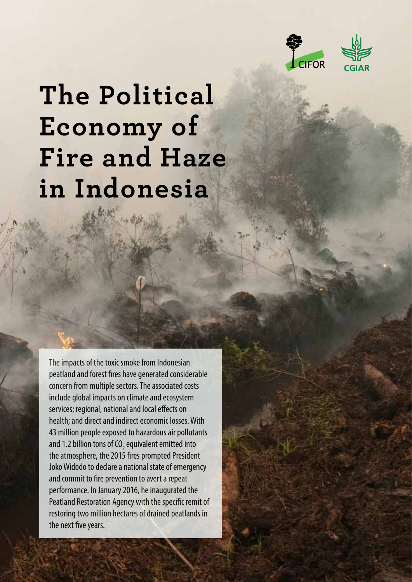



# **The Political Economy of Fire and Haze in Indonesia**

The impacts of the toxic smoke from Indonesian peatland and forest fires have generated considerable concern from multiple sectors. The associated costs include global impacts on climate and ecosystem services; regional, national and local effects on health; and direct and indirect economic losses. With 43 million people exposed to hazardous air pollutants and 1.2 billion tons of CO<sub>2</sub> equivalent emitted into the atmosphere, the 2015 fires prompted President Joko Widodo to declare a national state of emergency and commit to fire prevention to avert a repeat performance. In January 2016, he inaugurated the Peatland Restoration Agency with the specific remit of restoring two million hectares of drained peatlands in the next five years.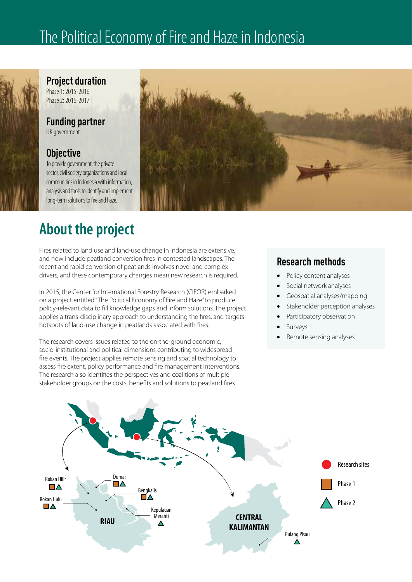# The Political Economy of Fire and Haze in Indonesia



**Project duration** Phase 1: 2015-2016

Phase 2: 2016-2017

## **Funding partner**

UK government

### **Objective**

To provide government, the private sector, civil society organizations and local communities in Indonesia with information, analysis and tools to identify and implement long-term solutions to fire and haze.



# **About the project**

Fires related to land use and land-use change in Indonesia are extensive, and now include peatland conversion fires in contested landscapes. The recent and rapid conversion of peatlands involves novel and complex drivers, and these contemporary changes mean new research is required.

In 2015, the Center for International Forestry Research (CIFOR) embarked on a project entitled "The Political Economy of Fire and Haze" to produce policy-relevant data to fill knowledge gaps and inform solutions. The project applies a trans-disciplinary approach to understanding the fires, and targets hotspots of land-use change in peatlands associated with fires.

The research covers issues related to the on-the-ground economic, socio-institutional and political dimensions contributing to widespread fire events. The project applies remote sensing and spatial technology to assess fire extent, policy performance and fire management interventions. The research also identifies the perspectives and coalitions of multiple stakeholder groups on the costs, benefits and solutions to peatland fires.

### **Research methods**

- Policy content analyses
- Social network analyses
- Geospatial analyses/mapping
- Stakeholder perception analyses
- Participatory observation
- **Surveys**
- Remote sensing analyses

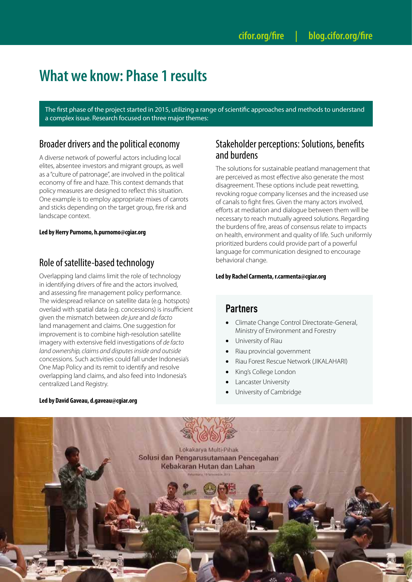## **What we know: Phase 1 results**

The first phase of the project started in 2015, utilizing a range of scientific approaches and methods to understand a complex issue. Research focused on three major themes:

#### Broader drivers and the political economy

A diverse network of powerful actors including local elites, absentee investors and migrant groups, as well as a "culture of patronage", are involved in the political economy of fire and haze. This context demands that policy measures are designed to reflect this situation. One example is to employ appropriate mixes of carrots and sticks depending on the target group, fire risk and landscape context.

#### **Led by Herry Purnomo, h.purnomo@cgiar.org**

### Role of satellite-based technology

Overlapping land claims limit the role of technology in identifying drivers of fire and the actors involved, and assessing fire management policy performance. The widespread reliance on satellite data (e.g. hotspots) overlaid with spatial data (e.g. concessions) is insufficient given the mismatch between *de jure* and *de facto* land management and claims. One suggestion for improvement is to combine high-resolution satellite imagery with extensive field investigations of *de facto land ownership, claims and disputes inside and outside*  concessions. Such activities could fall under Indonesia's One Map Policy and its remit to identify and resolve overlapping land claims, and also feed into Indonesia's centralized Land Registry.

#### **Led by David Gaveau, d.gaveau@cgiar.org**

#### Stakeholder perceptions: Solutions, benefits and burdens

The solutions for sustainable peatland management that are perceived as most effective also generate the most disagreement. These options include peat rewetting, revoking rogue company licenses and the increased use of canals to fight fires. Given the many actors involved, efforts at mediation and dialogue between them will be necessary to reach mutually agreed solutions. Regarding the burdens of fire, areas of consensus relate to impacts on health, environment and quality of life. Such uniformly prioritized burdens could provide part of a powerful language for communication designed to encourage behavioral change.

#### **Led by Rachel Carmenta, [r.carmenta@cgiar.org](mailto:r.carmenta@cgiar.org)**

#### **Partners**

- Climate Change Control Directorate-General, Ministry of Environment and Forestry
- University of Riau
- Riau provincial government
- Riau Forest Rescue Network (JIKALAHARI)
- King's College London
- Lancaster University
- University of Cambridge